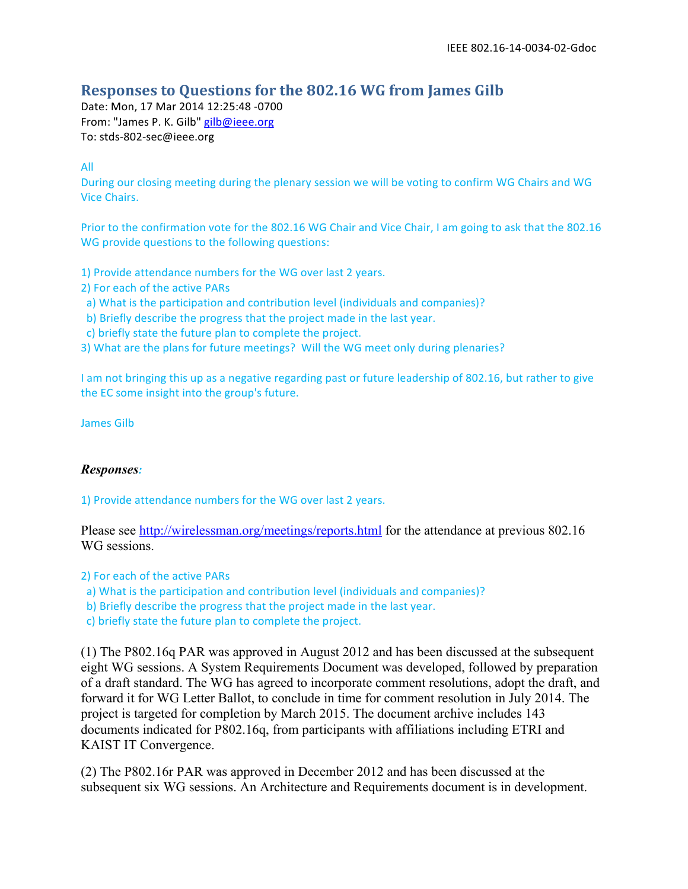## **Responses to Questions for the 802.16 WG from James Gilb**

Date: Mon, 17 Mar 2014 12:25:48 -0700 From: "James P. K. Gilb" gilb@ieee.org To: stds-802-sec@ieee.org

All

During our closing meeting during the plenary session we will be voting to confirm WG Chairs and WG Vice Chairs.

Prior to the confirmation vote for the 802.16 WG Chair and Vice Chair, I am going to ask that the 802.16 WG provide questions to the following questions:

1) Provide attendance numbers for the WG over last 2 years.

- 2) For each of the active PARs
- a) What is the participation and contribution level (individuals and companies)?
- b) Briefly describe the progress that the project made in the last year.
- c) briefly state the future plan to complete the project.

3) What are the plans for future meetings? Will the WG meet only during plenaries?

I am not bringing this up as a negative regarding past or future leadership of 802.16, but rather to give the EC some insight into the group's future.

James Gilb

## *Responses:*

1) Provide attendance numbers for the WG over last 2 years.

Please see http://wirelessman.org/meetings/reports.html for the attendance at previous 802.16 WG sessions.

2) For each of the active PARs

- a) What is the participation and contribution level (individuals and companies)?
- b) Briefly describe the progress that the project made in the last year.

c) briefly state the future plan to complete the project.

(1) The P802.16q PAR was approved in August 2012 and has been discussed at the subsequent eight WG sessions. A System Requirements Document was developed, followed by preparation of a draft standard. The WG has agreed to incorporate comment resolutions, adopt the draft, and forward it for WG Letter Ballot, to conclude in time for comment resolution in July 2014. The project is targeted for completion by March 2015. The document archive includes 143 documents indicated for P802.16q, from participants with affiliations including ETRI and KAIST IT Convergence.

(2) The P802.16r PAR was approved in December 2012 and has been discussed at the subsequent six WG sessions. An Architecture and Requirements document is in development.